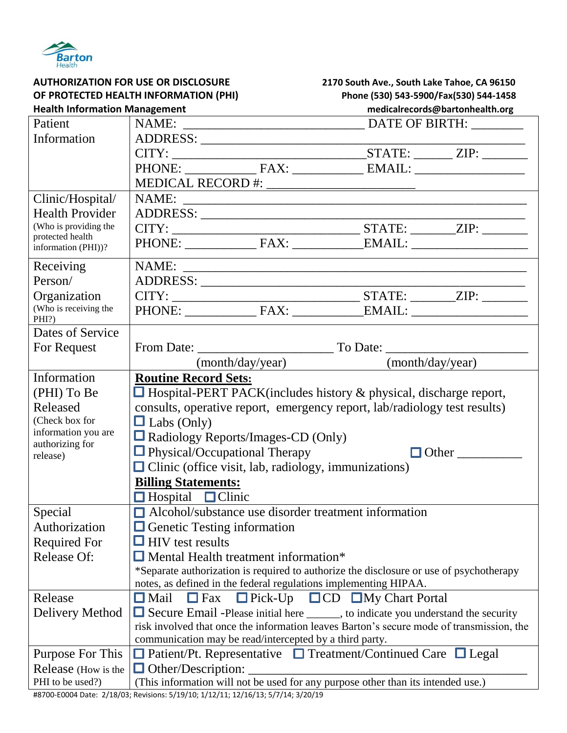

| <b>AUTHORIZATION FOR USE OR DISCLOSURE</b> |                                                                                          | 2170 South Ave., South Lake Tahoe, CA 96150 |  |
|--------------------------------------------|------------------------------------------------------------------------------------------|---------------------------------------------|--|
| OF PROTECTED HEALTH INFORMATION (PHI)      |                                                                                          | Phone (530) 543-5900/Fax(530) 544-1458      |  |
| <b>Health Information Management</b>       |                                                                                          | medicalrecords@bartonhealth.org             |  |
| Patient                                    |                                                                                          |                                             |  |
| Information                                | ADDRESS:                                                                                 |                                             |  |
|                                            |                                                                                          |                                             |  |
|                                            |                                                                                          |                                             |  |
|                                            |                                                                                          |                                             |  |
| Clinic/Hospital/                           |                                                                                          |                                             |  |
| <b>Health Provider</b>                     |                                                                                          |                                             |  |
| (Who is providing the                      |                                                                                          |                                             |  |
| protected health                           |                                                                                          |                                             |  |
| information (PHI))?                        |                                                                                          |                                             |  |
| Receiving                                  |                                                                                          |                                             |  |
| Person/                                    |                                                                                          |                                             |  |
| Organization                               |                                                                                          |                                             |  |
| (Who is receiving the                      |                                                                                          |                                             |  |
| PHI?)<br>Dates of Service                  |                                                                                          |                                             |  |
|                                            |                                                                                          |                                             |  |
| For Request                                |                                                                                          |                                             |  |
|                                            | (month/day/year)                                                                         | (month/day/year)                            |  |
| Information                                | <b>Routine Record Sets:</b>                                                              |                                             |  |
| (PHI) To Be                                | $\Box$ Hospital-PERT PACK(includes history & physical, discharge report,                 |                                             |  |
| Released                                   | consults, operative report, emergency report, lab/radiology test results)                |                                             |  |
| (Check box for                             | $\Box$ Labs (Only)                                                                       |                                             |  |
| information you are<br>authorizing for     | $\Box$ Radiology Reports/Images-CD (Only)                                                |                                             |  |
| release)                                   | $\Box$ Physical/Occupational Therapy                                                     | $\Box$ Other                                |  |
|                                            | $\Box$ Clinic (office visit, lab, radiology, immunizations)                              |                                             |  |
|                                            | <b>Billing Statements:</b>                                                               |                                             |  |
|                                            | $\Box$ Clinic<br>$\Box$ Hospital                                                         |                                             |  |
| Special                                    | $\Box$ Alcohol/substance use disorder treatment information                              |                                             |  |
| Authorization                              | $\Box$ Genetic Testing information                                                       |                                             |  |
| <b>Required For</b>                        | $\Box$ HIV test results                                                                  |                                             |  |
| <b>Release Of:</b>                         | $\Box$ Mental Health treatment information*                                              |                                             |  |
|                                            | *Separate authorization is required to authorize the disclosure or use of psychotherapy  |                                             |  |
|                                            | notes, as defined in the federal regulations implementing HIPAA.                         |                                             |  |
| Release                                    | $\Box$ CD $\Box$ My Chart Portal<br>$\Box$ Mail<br>$\Box$ Pick-Up<br>$\Box$ Fax          |                                             |  |
| Delivery Method                            | $\Box$ Secure Email -Please initial here ______, to indicate you understand the security |                                             |  |
|                                            | risk involved that once the information leaves Barton's secure mode of transmission, the |                                             |  |
|                                            | communication may be read/intercepted by a third party.                                  |                                             |  |
| Purpose For This                           | $\Box$ Patient/Pt. Representative $\Box$ Treatment/Continued Care $\Box$ Legal           |                                             |  |
| Release (How is the                        | $\Box$ Other/Description:                                                                |                                             |  |
| PHI to be used?)                           | (This information will not be used for any purpose other than its intended use.)         |                                             |  |